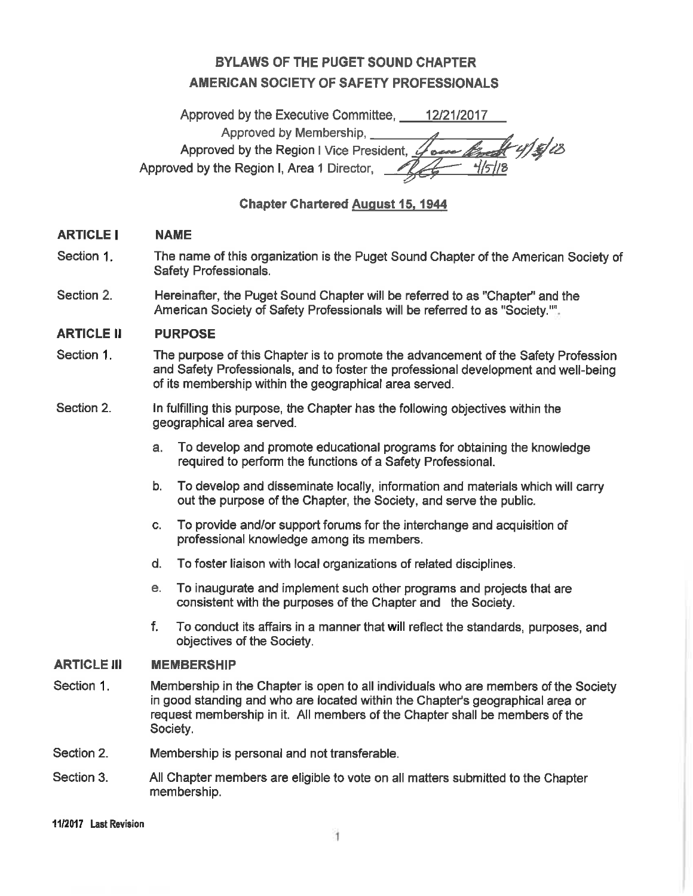# **BYLAWS OF THE PUGET SOUND CHAPTER AMERICAN SOCIETY OF SAFETY PROFESSIONALS**

Approved by the Executive Committee. 12/21/2017 Approved by Membership. Aulelis Approved by the Region I Vice President, Approved by the Region I, Area 1 Director,

**Chapter Chartered August 15, 1944** 

#### **ARTICLE I NAME**

- Section 1. The name of this organization is the Puget Sound Chapter of the American Society of Safety Professionals.
- Section 2. Hereinafter, the Puget Sound Chapter will be referred to as "Chapter" and the American Society of Safety Professionals will be referred to as "Society."".

#### **ARTICLE II PURPOSE**

- Section 1. The purpose of this Chapter is to promote the advancement of the Safety Profession and Safety Professionals, and to foster the professional development and well-being of its membership within the geographical area served.
- Section 2. In fulfilling this purpose, the Chapter has the following objectives within the geographical area served.
	- $a<sub>1</sub>$ To develop and promote educational programs for obtaining the knowledge required to perform the functions of a Safety Professional.
	- To develop and disseminate locally, information and materials which will carry b. out the purpose of the Chapter, the Society, and serve the public.
	- To provide and/or support forums for the interchange and acquisition of C. professional knowledge among its members.
	- $d_{\cdot}$ To foster liaison with local organizations of related disciplines.
	- To inaugurate and implement such other programs and projects that are  $e_{1}$ consistent with the purposes of the Chapter and the Society.
	- $f_{\perp}$ To conduct its affairs in a manner that will reflect the standards, purposes, and objectives of the Society.

#### **ARTICLE III MEMBERSHIP**

- Section 1. Membership in the Chapter is open to all individuals who are members of the Society in good standing and who are located within the Chapter's geographical area or request membership in it. All members of the Chapter shall be members of the Society.
- Section 2. Membership is personal and not transferable.
- Section 3. All Chapter members are eligible to vote on all matters submitted to the Chapter membership.

#### 11/2017 Last Revision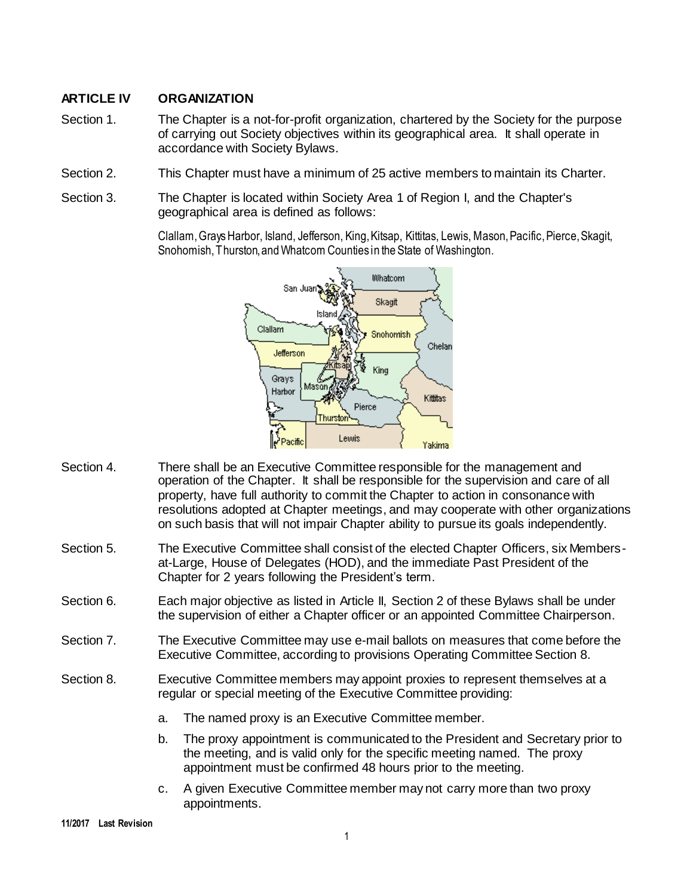# **ARTICLE IV ORGANIZATION**

- Section 1. The Chapter is a not-for-profit organization, chartered by the Society for the purpose of carrying out Society objectives within its geographical area. It shall operate in accordance with Society Bylaws.
- Section 2. This Chapter must have a minimum of 25 active members to maintain its Charter.
- Section 3. The Chapter is located within Society Area 1 of Region I, and the Chapter's geographical area is defined as follows:

Clallam, Grays Harbor, Island, Jefferson, King, Kitsap, Kittitas, Lewis, Mason, Pacific, Pierce, Skagit, Snohomish, Thurston, and Whatcom Counties in the State of Washington.



- Section 4. There shall be an Executive Committee responsible for the management and operation of the Chapter. It shall be responsible for the supervision and care of all property, have full authority to commit the Chapter to action in consonance with resolutions adopted at Chapter meetings, and may cooperate with other organizations on such basis that will not impair Chapter ability to pursue its goals independently.
- Section 5. The Executive Committee shall consist of the elected Chapter Officers, six Membersat-Large, House of Delegates (HOD), and the immediate Past President of the Chapter for 2 years following the President's term.
- Section 6. Each major objective as listed in Article II, Section 2 of these Bylaws shall be under the supervision of either a Chapter officer or an appointed Committee Chairperson.
- Section 7. The Executive Committee may use e-mail ballots on measures that come before the Executive Committee, according to provisions Operating Committee Section 8.
- Section 8. Executive Committee members may appoint proxies to represent themselves at a regular or special meeting of the Executive Committee providing:
	- a. The named proxy is an Executive Committee member.
	- b. The proxy appointment is communicated to the President and Secretary prior to the meeting, and is valid only for the specific meeting named. The proxy appointment must be confirmed 48 hours prior to the meeting.
	- c. A given Executive Committee member may not carry more than two proxy appointments.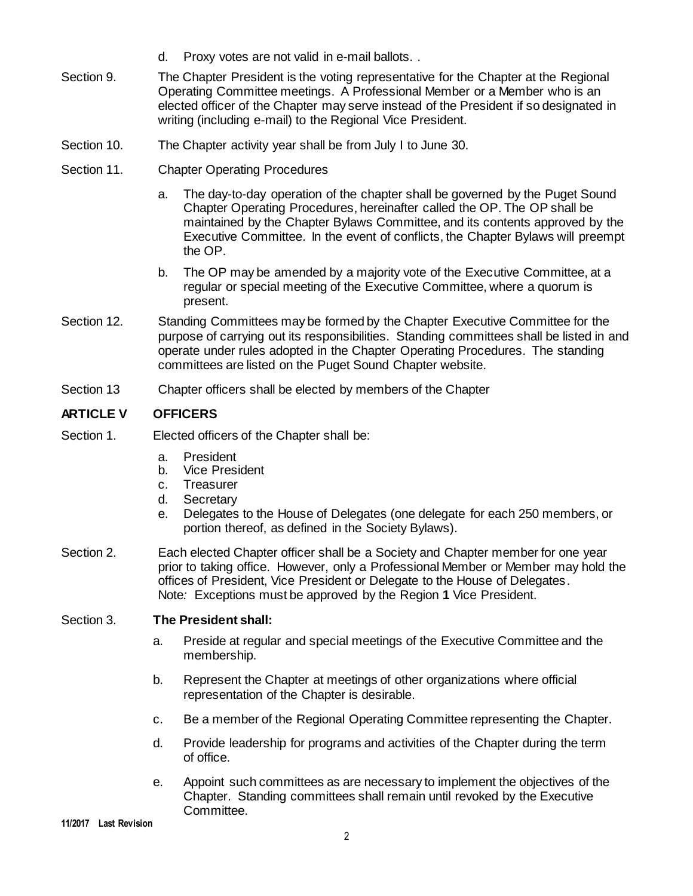- d. Proxy votes are not valid in e-mail ballots. .
- Section 9. The Chapter President is the voting representative for the Chapter at the Regional Operating Committee meetings. A Professional Member or a Member who is an elected officer of the Chapter may serve instead of the President if so designated in writing (including e-mail) to the Regional Vice President.
- Section 10. The Chapter activity year shall be from July I to June 30.
- Section 11. Chapter Operating Procedures
	- a. The day-to-day operation of the chapter shall be governed by the Puget Sound Chapter Operating Procedures, hereinafter called the OP. The OP shall be maintained by the Chapter Bylaws Committee, and its contents approved by the Executive Committee. In the event of conflicts, the Chapter Bylaws will preempt the OP.
	- b. The OP may be amended by a majority vote of the Executive Committee, at a regular or special meeting of the Executive Committee, where a quorum is present.
- Section 12. Standing Committees may be formed by the Chapter Executive Committee for the purpose of carrying out its responsibilities. Standing committees shall be listed in and operate under rules adopted in the Chapter Operating Procedures. The standing committees are listed on the Puget Sound Chapter website.
- Section 13 Chapter officers shall be elected by members of the Chapter

# **ARTICLE V OFFICERS**

- Section 1. Elected officers of the Chapter shall be:
	- a. President
	- b. Vice President
	- c. Treasurer
	- d. Secretary
	- e. Delegates to the House of Delegates (one delegate for each 250 members, or portion thereof, as defined in the Society Bylaws).
- Section 2. Each elected Chapter officer shall be a Society and Chapter member for one year prior to taking office. However, only a Professional Member or Member may hold the offices of President, Vice President or Delegate to the House of Delegates. Note*:* Exceptions must be approved by the Region **1** Vice President.

#### Section 3. **The President shall:**

- a. Preside at regular and special meetings of the Executive Committee and the membership.
- b. Represent the Chapter at meetings of other organizations where official representation of the Chapter is desirable.
- c. Be a member of the Regional Operating Committee representing the Chapter.
- d. Provide leadership for programs and activities of the Chapter during the term of office.
- e. Appoint such committees as are necessary to implement the objectives of the Chapter. Standing committees shall remain until revoked by the Executive Committee.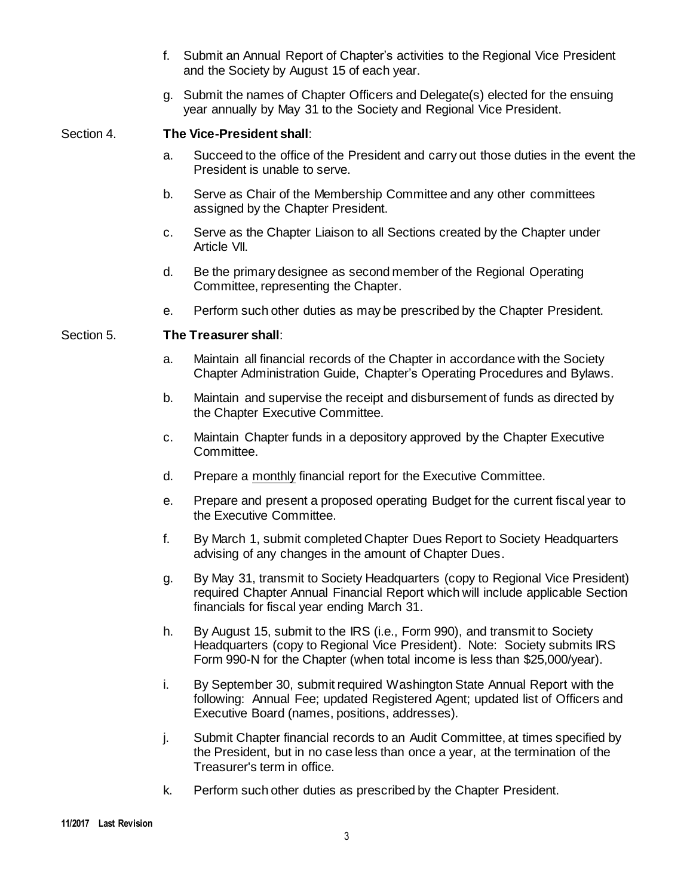- f. Submit an Annual Report of Chapter's activities to the Regional Vice President and the Society by August 15 of each year.
- g. Submit the names of Chapter Officers and Delegate(s) elected for the ensuing year annually by May 31 to the Society and Regional Vice President.

## Section 4. **The Vice-President shall**:

- a. Succeed to the office of the President and carry out those duties in the event the President is unable to serve.
- b. Serve as Chair of the Membership Committee and any other committees assigned by the Chapter President.
- c. Serve as the Chapter Liaison to all Sections created by the Chapter under Article VII.
- d. Be the primary designee as second member of the Regional Operating Committee, representing the Chapter.
- e. Perform such other duties as may be prescribed by the Chapter President.

## Section 5. **The Treasurer shall**:

- a. Maintain all financial records of the Chapter in accordance with the Society Chapter Administration Guide, Chapter's Operating Procedures and Bylaws.
- b. Maintain and supervise the receipt and disbursement of funds as directed by the Chapter Executive Committee.
- c. Maintain Chapter funds in a depository approved by the Chapter Executive Committee.
- d. Prepare a monthly financial report for the Executive Committee.
- e. Prepare and present a proposed operating Budget for the current fiscal year to the Executive Committee.
- f. By March 1, submit completed Chapter Dues Report to Society Headquarters advising of any changes in the amount of Chapter Dues.
- g. By May 31, transmit to Society Headquarters (copy to Regional Vice President) required Chapter Annual Financial Report which will include applicable Section financials for fiscal year ending March 31.
- h. By August 15, submit to the IRS (i.e., Form 990), and transmit to Society Headquarters (copy to Regional Vice President). Note: Society submits IRS Form 990-N for the Chapter (when total income is less than \$25,000/year).
- i. By September 30, submit required Washington State Annual Report with the following: Annual Fee; updated Registered Agent; updated list of Officers and Executive Board (names, positions, addresses)*.*
- j. Submit Chapter financial records to an Audit Committee, at times specified by the President, but in no case less than once a year, at the termination of the Treasurer's term in office.
- k. Perform such other duties as prescribed by the Chapter President.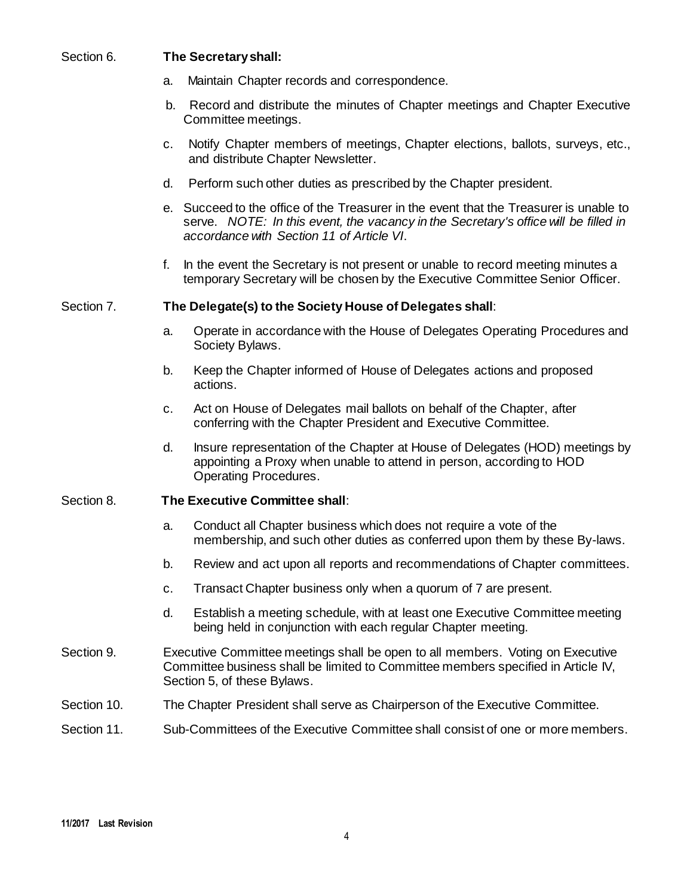## Section 6. **The Secretary shall:**

- a. Maintain Chapter records and correspondence.
- b. Record and distribute the minutes of Chapter meetings and Chapter Executive Committee meetings.
- c. Notify Chapter members of meetings, Chapter elections, ballots, surveys, etc., and distribute Chapter Newsletter.
- d. Perform such other duties as prescribed by the Chapter president.
- e. Succeed to the office of the Treasurer in the event that the Treasurer is unable to serve. *NOTE: In this event, the vacancy in the Secretary's office will be filled in accordance with Section 11 of Article VI*.
- f. In the event the Secretary is not present or unable to record meeting minutes a temporary Secretary will be chosen by the Executive Committee Senior Officer.

#### Section 7. **The Delegate(s) to the Society House of Delegates shall**:

- a. Operate in accordance with the House of Delegates Operating Procedures and Society Bylaws.
- b. Keep the Chapter informed of House of Delegates actions and proposed actions.
- c. Act on House of Delegates mail ballots on behalf of the Chapter, after conferring with the Chapter President and Executive Committee.
- d. Insure representation of the Chapter at House of Delegates (HOD) meetings by appointing a Proxy when unable to attend in person, according to HOD Operating Procedures.

#### Section 8. **The Executive Committee shall**:

- a. Conduct all Chapter business which does not require a vote of the membership, and such other duties as conferred upon them by these By-laws.
- b. Review and act upon all reports and recommendations of Chapter committees.
- c. Transact Chapter business only when a quorum of 7 are present.
- d. Establish a meeting schedule, with at least one Executive Committee meeting being held in conjunction with each regular Chapter meeting.
- Section 9. Executive Committee meetings shall be open to all members. Voting on Executive Committee business shall be limited to Committee members specified in Article IV, Section 5, of these Bylaws.
- Section 10. The Chapter President shall serve as Chairperson of the Executive Committee.
- Section 11. Sub-Committees of the Executive Committee shall consist of one or more members.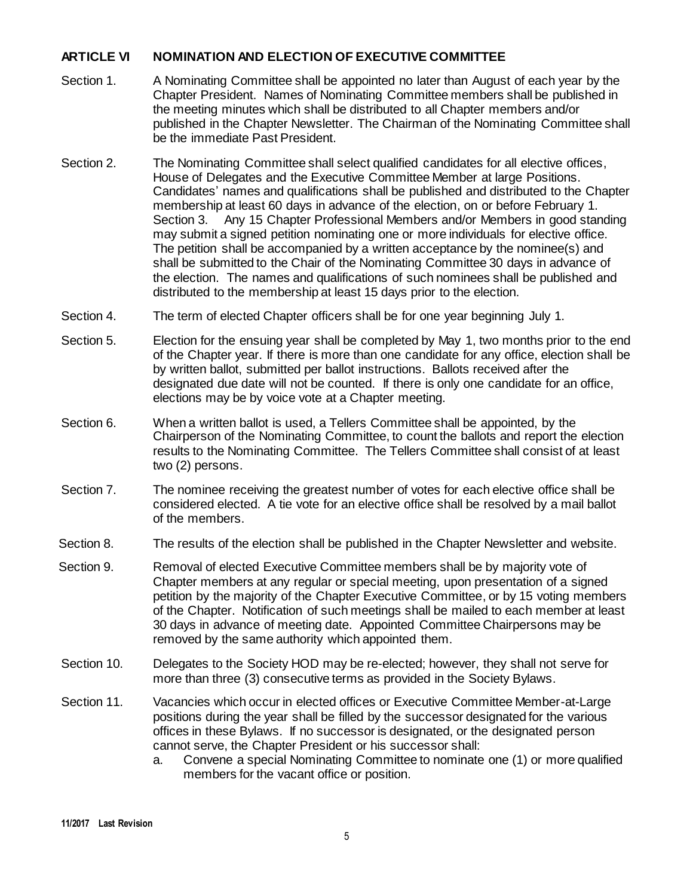# **ARTICLE VI NOMINATION AND ELECTION OF EXECUTIVE COMMITTEE**

- Section 1. A Nominating Committee shall be appointed no later than August of each year by the Chapter President. Names of Nominating Committee members shall be published in the meeting minutes which shall be distributed to all Chapter members and/or published in the Chapter Newsletter. The Chairman of the Nominating Committee shall be the immediate Past President.
- Section 2. The Nominating Committee shall select qualified candidates for all elective offices, House of Delegates and the Executive Committee Member at large Positions. Candidates' names and qualifications shall be published and distributed to the Chapter membership at least 60 days in advance of the election, on or before February 1. Section 3. Any 15 Chapter Professional Members and/or Members in good standing may submit a signed petition nominating one or more individuals for elective office. The petition shall be accompanied by a written acceptance by the nominee(s) and shall be submitted to the Chair of the Nominating Committee 30 days in advance of the election. The names and qualifications of such nominees shall be published and distributed to the membership at least 15 days prior to the election.
- Section 4. The term of elected Chapter officers shall be for one year beginning July 1.
- Section 5. Election for the ensuing year shall be completed by May 1, two months prior to the end of the Chapter year. If there is more than one candidate for any office, election shall be by written ballot, submitted per ballot instructions. Ballots received after the designated due date will not be counted. If there is only one candidate for an office, elections may be by voice vote at a Chapter meeting.
- Section 6. When a written ballot is used, a Tellers Committee shall be appointed, by the Chairperson of the Nominating Committee, to count the ballots and report the election results to the Nominating Committee. The Tellers Committee shall consist of at least two (2) persons.
- Section 7. The nominee receiving the greatest number of votes for each elective office shall be considered elected. A tie vote for an elective office shall be resolved by a mail ballot of the members.
- Section 8. The results of the election shall be published in the Chapter Newsletter and website.
- Section 9. Removal of elected Executive Committee members shall be by majority vote of Chapter members at any regular or special meeting, upon presentation of a signed petition by the majority of the Chapter Executive Committee, or by 15 voting members of the Chapter. Notification of such meetings shall be mailed to each member at least 30 days in advance of meeting date. Appointed Committee Chairpersons may be removed by the same authority which appointed them.
- Section 10. Delegates to the Society HOD may be re-elected; however, they shall not serve for more than three (3) consecutive terms as provided in the Society Bylaws.
- Section 11. Vacancies which occur in elected offices or Executive Committee Member-at-Large positions during the year shall be filled by the successor designated for the various offices in these Bylaws. If no successor is designated, or the designated person cannot serve, the Chapter President or his successor shall:
	- a. Convene a special Nominating Committee to nominate one (1) or more qualified members for the vacant office or position.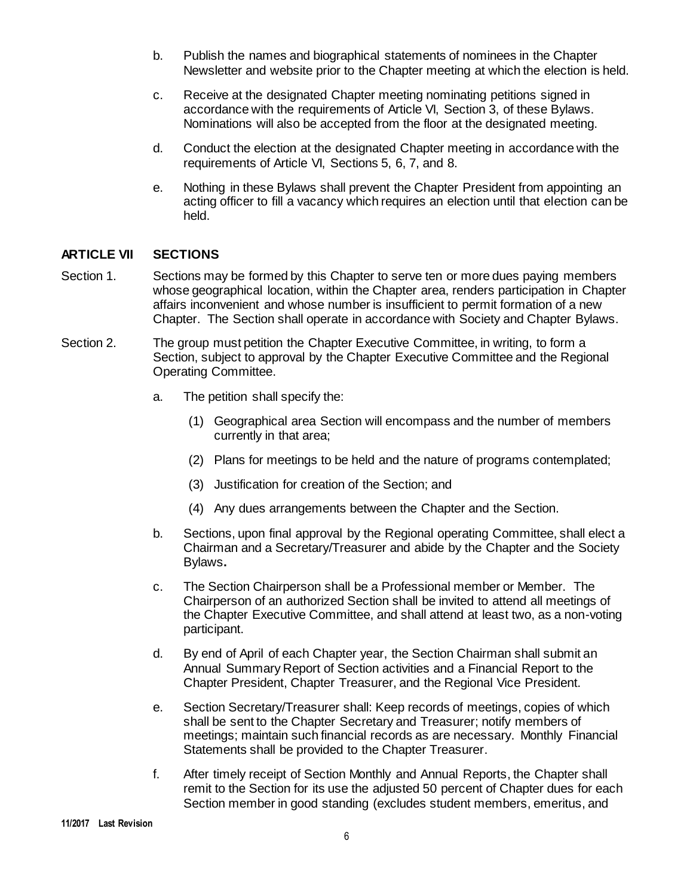- b. Publish the names and biographical statements of nominees in the Chapter Newsletter and website prior to the Chapter meeting at which the election is held.
- c. Receive at the designated Chapter meeting nominating petitions signed in accordance with the requirements of Article VI, Section 3, of these Bylaws. Nominations will also be accepted from the floor at the designated meeting.
- d. Conduct the election at the designated Chapter meeting in accordance with the requirements of Article VI, Sections 5, 6, 7, and 8.
- e. Nothing in these Bylaws shall prevent the Chapter President from appointing an acting officer to fill a vacancy which requires an election until that election can be held.

# **ARTICLE VII SECTIONS**

- Section 1. Sections may be formed by this Chapter to serve ten or more dues paying members whose geographical location, within the Chapter area, renders participation in Chapter affairs inconvenient and whose number is insufficient to permit formation of a new Chapter. The Section shall operate in accordance with Society and Chapter Bylaws.
- Section 2. The group must petition the Chapter Executive Committee, in writing, to form a Section, subject to approval by the Chapter Executive Committee and the Regional Operating Committee.
	- a. The petition shall specify the:
		- (1) Geographical area Section will encompass and the number of members currently in that area;
		- (2) Plans for meetings to be held and the nature of programs contemplated;
		- (3) Justification for creation of the Section; and
		- (4) Any dues arrangements between the Chapter and the Section.
	- b. Sections, upon final approval by the Regional operating Committee, shall elect a Chairman and a Secretary/Treasurer and abide by the Chapter and the Society Bylaws**.**
	- c. The Section Chairperson shall be a Professional member or Member.The Chairperson of an authorized Section shall be invited to attend all meetings of the Chapter Executive Committee, and shall attend at least two, as a non-voting participant.
	- d. By end of April of each Chapter year, the Section Chairman shall submit an Annual Summary Report of Section activities and a Financial Report to the Chapter President, Chapter Treasurer, and the Regional Vice President.
	- e. Section Secretary/Treasurer shall: Keep records of meetings, copies of which shall be sent to the Chapter Secretary and Treasurer; notify members of meetings; maintain such financial records as are necessary. Monthly Financial Statements shall be provided to the Chapter Treasurer.
	- f. After timely receipt of Section Monthly and Annual Reports, the Chapter shall remit to the Section for its use the adjusted 50 percent of Chapter dues for each Section member in good standing (excludes student members, emeritus, and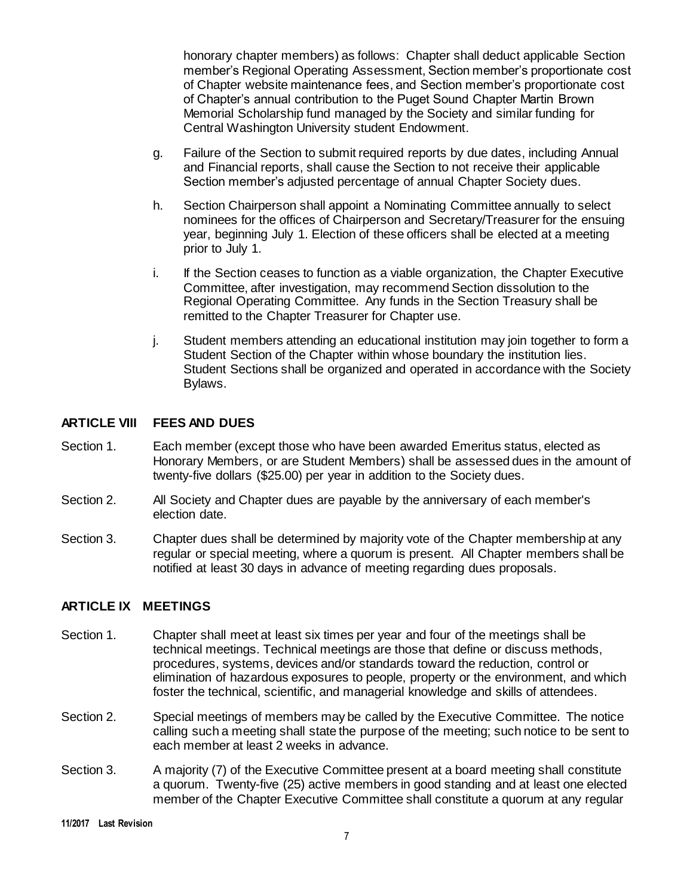honorary chapter members) as follows: Chapter shall deduct applicable Section member's Regional Operating Assessment, Section member's proportionate cost of Chapter website maintenance fees, and Section member's proportionate cost of Chapter's annual contribution to the Puget Sound Chapter Martin Brown Memorial Scholarship fund managed by the Society and similar funding for Central Washington University student Endowment.

- g. Failure of the Section to submit required reports by due dates, including Annual and Financial reports, shall cause the Section to not receive their applicable Section member's adjusted percentage of annual Chapter Society dues.
- h. Section Chairperson shall appoint a Nominating Committee annually to select nominees for the offices of Chairperson and Secretary/Treasurer for the ensuing year, beginning July 1. Election of these officers shall be elected at a meeting prior to July 1.
- i. If the Section ceases to function as a viable organization, the Chapter Executive Committee, after investigation, may recommend Section dissolution to the Regional Operating Committee. Any funds in the Section Treasury shall be remitted to the Chapter Treasurer for Chapter use.
- j. Student members attending an educational institution may join together to form a Student Section of the Chapter within whose boundary the institution lies. Student Sections shall be organized and operated in accordance with the Society Bylaws.

## **ARTICLE VIII FEES AND DUES**

- Section 1. Each member (except those who have been awarded Emeritus status, elected as Honorary Members, or are Student Members) shall be assessed dues in the amount of twenty-five dollars (\$25.00) per year in addition to the Society dues.
- Section 2. All Society and Chapter dues are payable by the anniversary of each member's election date.
- Section 3. Chapter dues shall be determined by majority vote of the Chapter membership at any regular or special meeting, where a quorum is present. All Chapter members shall be notified at least 30 days in advance of meeting regarding dues proposals.

#### **ARTICLE IX MEETINGS**

- Section 1. Chapter shall meet at least six times per year and four of the meetings shall be technical meetings. Technical meetings are those that define or discuss methods, procedures, systems, devices and/or standards toward the reduction, control or elimination of hazardous exposures to people, property or the environment, and which foster the technical, scientific, and managerial knowledge and skills of attendees.
- Section 2. Special meetings of members may be called by the Executive Committee. The notice calling such a meeting shall state the purpose of the meeting; such notice to be sent to each member at least 2 weeks in advance.
- Section 3. A majority (7) of the Executive Committee present at a board meeting shall constitute a quorum. Twenty-five (25) active members in good standing and at least one elected member of the Chapter Executive Committee shall constitute a quorum at any regular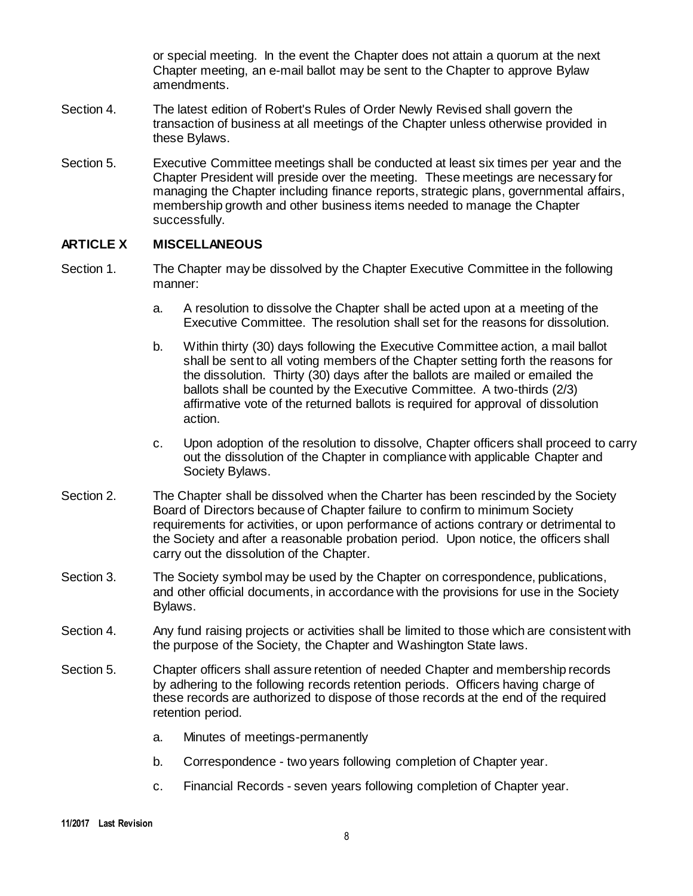or special meeting. In the event the Chapter does not attain a quorum at the next Chapter meeting, an e-mail ballot may be sent to the Chapter to approve Bylaw amendments.

- Section 4. The latest edition of Robert's Rules of Order Newly Revised shall govern the transaction of business at all meetings of the Chapter unless otherwise provided in these Bylaws.
- Section 5. Executive Committee meetings shall be conducted at least six times per year and the Chapter President will preside over the meeting. These meetings are necessary for managing the Chapter including finance reports, strategic plans, governmental affairs, membership growth and other business items needed to manage the Chapter successfully.

## **ARTICLE X MISCELLANEOUS**

- Section 1. The Chapter may be dissolved by the Chapter Executive Committee in the following manner:
	- a. A resolution to dissolve the Chapter shall be acted upon at a meeting of the Executive Committee. The resolution shall set for the reasons for dissolution.
	- b. Within thirty (30) days following the Executive Committee action, a mail ballot shall be sent to all voting members of the Chapter setting forth the reasons for the dissolution. Thirty (30) days after the ballots are mailed or emailed the ballots shall be counted by the Executive Committee. A two-thirds (2/3) affirmative vote of the returned ballots is required for approval of dissolution action.
	- c. Upon adoption of the resolution to dissolve, Chapter officers shall proceed to carry out the dissolution of the Chapter in compliance with applicable Chapter and Society Bylaws.
- Section 2. The Chapter shall be dissolved when the Charter has been rescinded by the Society Board of Directors because of Chapter failure to confirm to minimum Society requirements for activities, or upon performance of actions contrary or detrimental to the Society and after a reasonable probation period. Upon notice, the officers shall carry out the dissolution of the Chapter.
- Section 3. The Society symbol may be used by the Chapter on correspondence, publications, and other official documents, in accordance with the provisions for use in the Society Bylaws.
- Section 4. Any fund raising projects or activities shall be limited to those which are consistent with the purpose of the Society, the Chapter and Washington State laws.
- Section 5. Chapter officers shall assure retention of needed Chapter and membership records by adhering to the following records retention periods. Officers having charge of these records are authorized to dispose of those records at the end of the required retention period.
	- a. Minutes of meetings-permanently
	- b. Correspondence two years following completion of Chapter year.
	- c. Financial Records seven years following completion of Chapter year.